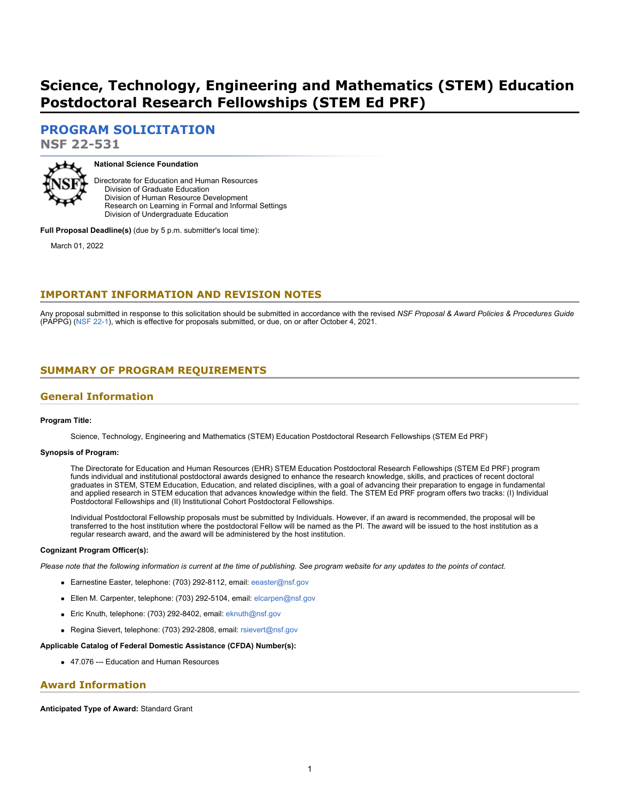# **Science, Technology, Engineering and Mathematics (STEM) Education Postdoctoral Research Fellowships (STEM Ed PRF)**

## **[PROGRAM SOLICITATION](#page-2-0)**

**NSF 22-531**



**National Science Foundation**

Directorate for Education and Human Resources Division of Graduate Education Division of Human Resource Development Research on Learning in Formal and Informal Settings Division of Undergraduate Education

**Full Proposal Deadline(s)** (due by 5 p.m. submitter's local time):

March 01, 2022

## **IMPORTANT INFORMATION AND REVISION NOTES**

Any proposal submitted in response to this solicitation should be submitted in accordance with the revised *NSF Proposal & Award Policies & Procedures Guide* (PAPPG) [\(NSF 22-1](https://www.nsf.gov/publications/pub_summ.jsp?ods_key=nsf22001&org=NSF)), which is effective for proposals submitted, or due, on or after October 4, 2021.

## <span id="page-0-0"></span>**SUMMARY OF PROGRAM REQUIREMENTS**

## **General Information**

#### **Program Title:**

Science, Technology, Engineering and Mathematics (STEM) Education Postdoctoral Research Fellowships (STEM Ed PRF)

#### **Synopsis of Program:**

The Directorate for Education and Human Resources (EHR) STEM Education Postdoctoral Research Fellowships (STEM Ed PRF) program funds individual and institutional postdoctoral awards designed to enhance the research knowledge, skills, and practices of recent doctoral graduates in STEM, STEM Education, Education, and related disciplines, with a goal of advancing their preparation to engage in fundamental and applied research in STEM education that advances knowledge within the field. The STEM Ed PRF program offers two tracks: (I) Individual Postdoctoral Fellowships and (II) Institutional Cohort Postdoctoral Fellowships.

Individual Postdoctoral Fellowship proposals must be submitted by Individuals. However, if an award is recommended, the proposal will be transferred to the host institution where the postdoctoral Fellow will be named as the PI. The award will be issued to the host institution as a regular research award, and the award will be administered by the host institution.

#### **Cognizant Program Officer(s):**

*Please note that the following information is current at the time of publishing. See program website for any updates to the points of contact.*

- Earnestine Easter, telephone: (703) 292-8112, email: [eeaster@nsf.gov](mailto:eeaster@nsf.gov)
- Ellen M. Carpenter, telephone: (703) 292-5104, email: [elcarpen@nsf.gov](mailto:elcarpen@nsf.gov)
- Eric Knuth, telephone: (703) 292-8402, email: [eknuth@nsf.gov](mailto:eknuth@nsf.gov)
- Regina Sievert, telephone: (703) 292-2808, email: [rsievert@nsf.gov](mailto:rsievert@nsf.gov)

#### **Applicable Catalog of Federal Domestic Assistance (CFDA) Number(s):**

47.076 --- Education and Human Resources

## **Award Information**

**Anticipated Type of Award:** Standard Grant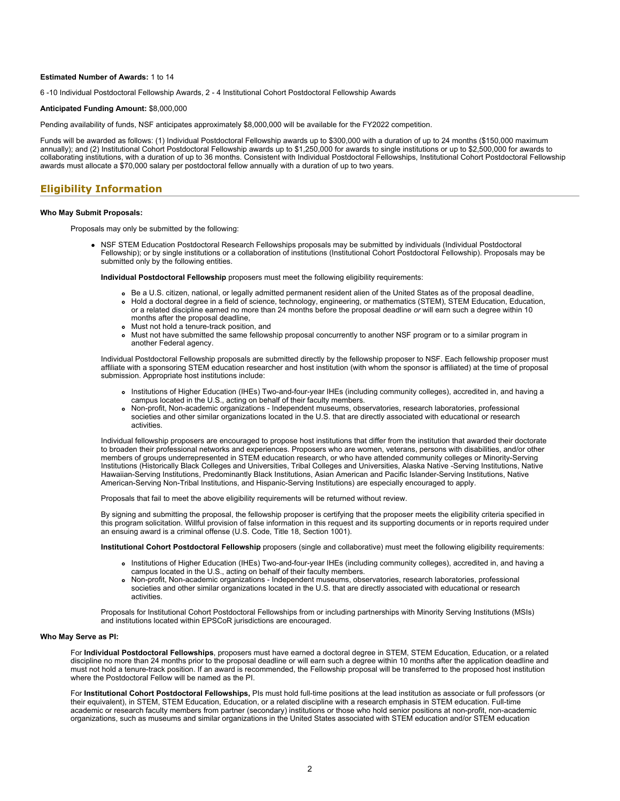#### **Estimated Number of Awards:** 1 to 14

6 -10 Individual Postdoctoral Fellowship Awards, 2 - 4 Institutional Cohort Postdoctoral Fellowship Awards

#### **Anticipated Funding Amount:** \$8,000,000

Pending availability of funds, NSF anticipates approximately \$8,000,000 will be available for the FY2022 competition.

Funds will be awarded as follows: (1) Individual Postdoctoral Fellowship awards up to \$300,000 with a duration of up to 24 months (\$150,000 maximum annually); and (2) Institutional Cohort Postdoctoral Fellowship awards up to \$1,250,000 for awards to single institutions or up to \$2,500,000 for awards to collaborating institutions, with a duration of up to 36 months. Consistent with Individual Postdoctoral Fellowships, Institutional Cohort Postdoctoral Fellowship awards must allocate a \$70,000 salary per postdoctoral fellow annually with a duration of up to two years.

## **Eligibility Information**

#### **Who May Submit Proposals:**

Proposals may only be submitted by the following:

NSF STEM Education Postdoctoral Research Fellowships proposals may be submitted by individuals (Individual Postdoctoral Fellowship); or by single institutions or a collaboration of institutions (Institutional Cohort Postdoctoral Fellowship). Proposals may be submitted only by the following entities.

**Individual Postdoctoral Fellowship** proposers must meet the following eligibility requirements:

- Be a U.S. citizen, national, or legally admitted permanent resident alien of the United States as of the proposal deadline,
- Hold a doctoral degree in a field of science, technology, engineering, or mathematics (STEM), STEM Education, Education, or a related discipline earned no more than 24 months before the proposal deadline *or* will earn such a degree within 10 months after the proposal deadline,
- Must not hold a tenure-track position, and  $\bullet$
- Must not have submitted the same fellowship proposal concurrently to another NSF program or to a similar program in another Federal agency.

Individual Postdoctoral Fellowship proposals are submitted directly by the fellowship proposer to NSF. Each fellowship proposer must affiliate with a sponsoring STEM education researcher and host institution (with whom the sponsor is affiliated) at the time of proposal submission. Appropriate host institutions include:

- Institutions of Higher Education (IHEs) Two-and-four-year IHEs (including community colleges), accredited in, and having a campus located in the U.S., acting on behalf of their faculty members.
- Non-profit, Non-academic organizations Independent museums, observatories, research laboratories, professional societies and other similar organizations located in the U.S. that are directly associated with educational or research activities.

Individual fellowship proposers are encouraged to propose host institutions that differ from the institution that awarded their doctorate to broaden their professional networks and experiences. Proposers who are women, veterans, persons with disabilities, and/or other members of groups underrepresented in STEM education research, or who have attended community colleges or Minority-Serving Institutions (Historically Black Colleges and Universities, Tribal Colleges and Universities, Alaska Native -Serving Institutions, Native Hawaiian-Serving Institutions, Predominantly Black Institutions, Asian American and Pacific Islander-Serving Institutions, Native American-Serving Non-Tribal Institutions, and Hispanic-Serving Institutions) are especially encouraged to apply.

Proposals that fail to meet the above eligibility requirements will be returned without review.

By signing and submitting the proposal, the fellowship proposer is certifying that the proposer meets the eligibility criteria specified in this program solicitation. Willful provision of false information in this request and its supporting documents or in reports required under an ensuing award is a criminal offense (U.S. Code, Title 18, Section 1001).

**Institutional Cohort Postdoctoral Fellowship** proposers (single and collaborative) must meet the following eligibility requirements:

- Institutions of Higher Education (IHEs) Two-and-four-year IHEs (including community colleges), accredited in, and having a campus located in the U.S., acting on behalf of their faculty members.
- Non-profit, Non-academic organizations Independent museums, observatories, research laboratories, professional societies and other similar organizations located in the U.S. that are directly associated with educational or research activities.

Proposals for Institutional Cohort Postdoctoral Fellowships from or including partnerships with Minority Serving Institutions (MSIs) and institutions located within EPSCoR jurisdictions are encouraged.

### **Who May Serve as PI:**

For **Individual Postdoctoral Fellowships**, proposers must have earned a doctoral degree in STEM, STEM Education, Education, or a related discipline no more than 24 months prior to the proposal deadline or will earn such a degree within 10 months after the application deadline and must not hold a tenure-track position. If an award is recommended, the Fellowship proposal will be transferred to the proposed host institution where the Postdoctoral Fellow will be named as the PI.

For **Institutional Cohort Postdoctoral Fellowships,** PIs must hold full-time positions at the lead institution as associate or full professors (or their equivalent), in STEM, STEM Education, Education, or a related discipline with a research emphasis in STEM education. Full-time academic or research faculty members from partner (secondary) institutions or those who hold senior positions at non-profit, non-academic organizations, such as museums and similar organizations in the United States associated with STEM education and/or STEM education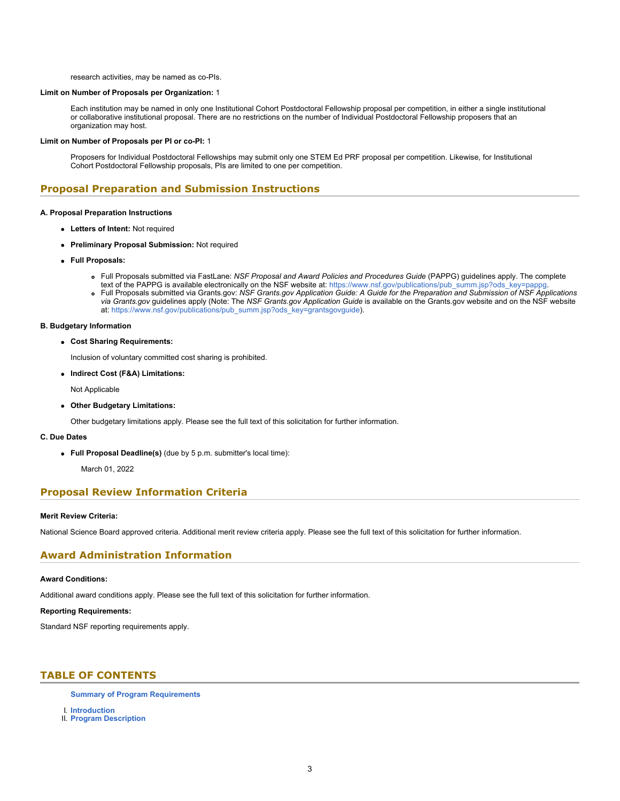research activities, may be named as co-PIs.

#### **Limit on Number of Proposals per Organization:** 1

Each institution may be named in only one Institutional Cohort Postdoctoral Fellowship proposal per competition, in either a single institutional or collaborative institutional proposal. There are no restrictions on the number of Individual Postdoctoral Fellowship proposers that an organization may host.

#### **Limit on Number of Proposals per PI or co-PI:** 1

Proposers for Individual Postdoctoral Fellowships may submit only one STEM Ed PRF proposal per competition. Likewise, for Institutional Cohort Postdoctoral Fellowship proposals, PIs are limited to one per competition.

## **Proposal Preparation and Submission Instructions**

#### **A. Proposal Preparation Instructions**

- **Letters of Intent:** Not required
- **Preliminary Proposal Submission:** Not required
- **Full Proposals:**
	- Full Proposals submitted via FastLane: *NSF Proposal and Award Policies and Procedures Guide* (PAPPG) guidelines apply. The complete text of the PAPPG is available electronically on the NSF website at: [https://www.nsf.gov/publications/pub\\_summ.jsp?ods\\_key=pappg](https://www.nsf.gov/publications/pub_summ.jsp?ods_key=pappg).
	- Full Proposals submitted via Grants.gov: *NSF Grants.gov Application Guide: A Guide for the Preparation and Submission of NSF Applications via Grants.gov* guidelines apply (Note: The *NSF Grants.gov Application Guide* is available on the Grants.gov website and on the NSF website at: [https://www.nsf.gov/publications/pub\\_summ.jsp?ods\\_key=grantsgovguide](https://www.nsf.gov/publications/pub_summ.jsp?ods_key=grantsgovguide)).

#### **B. Budgetary Information**

**Cost Sharing Requirements:**

Inclusion of voluntary committed cost sharing is prohibited.

**Indirect Cost (F&A) Limitations:**

Not Applicable

**Other Budgetary Limitations:**

Other budgetary limitations apply. Please see the full text of this solicitation for further information.

#### **C. Due Dates**

**Full Proposal Deadline(s)** (due by 5 p.m. submitter's local time):

March 01, 2022

## **Proposal Review Information Criteria**

### **Merit Review Criteria:**

National Science Board approved criteria. Additional merit review criteria apply. Please see the full text of this solicitation for further information.

## **Award Administration Information**

#### **Award Conditions:**

Additional award conditions apply. Please see the full text of this solicitation for further information.

### **Reporting Requirements:**

Standard NSF reporting requirements apply.

## <span id="page-2-0"></span>**TABLE OF CONTENTS**

**[Summary of Program Requirements](#page-0-0)**

I. **[Introduction](#page-3-0)**

II. **[Program Description](#page-3-1)**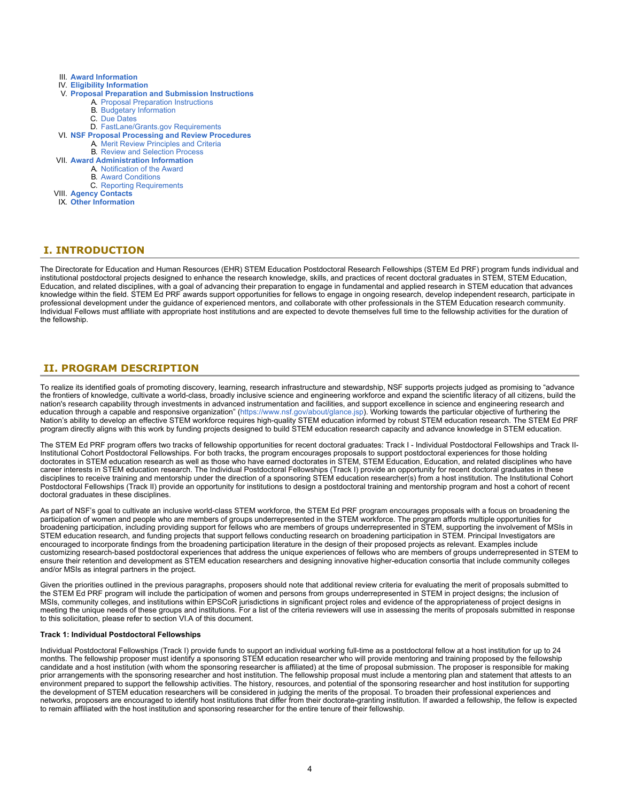- III. **[Award Information](#page-4-0)**
- IV. **[Eligibility Information](#page-4-1)**
- V. **[Proposal Preparation and Submission Instructions](#page-6-0)**
	- A. [Proposal Preparation Instructions](#page-6-0)
	- B. [Budgetary Information](#page-9-0)
	- C. [Due Dates](#page-9-1)
	- D. [FastLane/Grants.gov Requirements](#page-9-2)
- VI. **[NSF Proposal Processing and Review Procedures](#page-10-0)**
	- A. [Merit Review Principles and Criteria](#page-10-1)
		- B. [Review and Selection Process](#page-12-0)
- VII. **[Award Administration Information](#page-12-1)**
	- A. [Notification of the Award](#page-13-0) B. [Award Conditions](#page-13-1)
		-
	- C. [Reporting Requirements](#page-13-2)
- VIII. **[Agency Contacts](#page-13-3)**

### IX. **[Other Information](#page-14-0)**

## <span id="page-3-0"></span>**I. INTRODUCTION**

The Directorate for Education and Human Resources (EHR) STEM Education Postdoctoral Research Fellowships (STEM Ed PRF) program funds individual and institutional postdoctoral projects designed to enhance the research knowledge, skills, and practices of recent doctoral graduates in STEM, STEM Education, Education, and related disciplines, with a goal of advancing their preparation to engage in fundamental and applied research in STEM education that advances knowledge within the field. STEM Ed PRF awards support opportunities for fellows to engage in ongoing research, develop independent research, participate in professional development under the guidance of experienced mentors, and collaborate with other professionals in the STEM Education research community. Individual Fellows must affiliate with appropriate host institutions and are expected to devote themselves full time to the fellowship activities for the duration of the fellowship.

## <span id="page-3-1"></span>**II. PROGRAM DESCRIPTION**

To realize its identified goals of promoting discovery, learning, research infrastructure and stewardship, NSF supports projects judged as promising to "advance the frontiers of knowledge, cultivate a world-class, broadly inclusive science and engineering workforce and expand the scientific literacy of all citizens, build the nation's research capability through investments in advanced instrumentation and facilities, and support excellence in science and engineering research and education through a capable and responsive organization" [\(https://www.nsf.gov/about/glance.jsp](https://www.nsf.gov/about/glance.jsp)). Working towards the particular objective of furthering the Nation's ability to develop an effective STEM workforce requires high-quality STEM education informed by robust STEM education research. The STEM Ed PRF program directly aligns with this work by funding projects designed to build STEM education research capacity and advance knowledge in STEM education.

The STEM Ed PRF program offers two tracks of fellowship opportunities for recent doctoral graduates: Track I - Individual Postdoctoral Fellowships and Track II-Institutional Cohort Postdoctoral Fellowships. For both tracks, the program encourages proposals to support postdoctoral experiences for those holding doctorates in STEM education research as well as those who have earned doctorates in STEM, STEM Education, Education, and related disciplines who have career interests in STEM education research. The Individual Postdoctoral Fellowships (Track I) provide an opportunity for recent doctoral graduates in these disciplines to receive training and mentorship under the direction of a sponsoring STEM education researcher(s) from a host institution. The Institutional Cohort Postdoctoral Fellowships (Track II) provide an opportunity for institutions to design a postdoctoral training and mentorship program and host a cohort of recent doctoral graduates in these disciplines.

As part of NSF's goal to cultivate an inclusive world-class STEM workforce, the STEM Ed PRF program encourages proposals with a focus on broadening the participation of women and people who are members of groups underrepresented in the STEM workforce. The program affords multiple opportunities for broadening participation, including providing support for fellows who are members of groups underrepresented in STEM, supporting the involvement of MSIs in STEM education research, and funding projects that support fellows conducting research on broadening participation in STEM. Principal Investigators are encouraged to incorporate findings from the broadening participation literature in the design of their proposed projects as relevant. Examples include customizing research-based postdoctoral experiences that address the unique experiences of fellows who are members of groups underrepresented in STEM to ensure their retention and development as STEM education researchers and designing innovative higher-education consortia that include community colleges and/or MSIs as integral partners in the project.

Given the priorities outlined in the previous paragraphs, proposers should note that additional review criteria for evaluating the merit of proposals submitted to the STEM Ed PRF program will include the participation of women and persons from groups underrepresented in STEM in project designs; the inclusion of MSIs, community colleges, and institutions within EPSCoR jurisdictions in significant project roles and evidence of the appropriateness of project designs in meeting the unique needs of these groups and institutions. For a list of the criteria reviewers will use in assessing the merits of proposals submitted in response to this solicitation, please refer to section VI.A of this document.

#### **Track 1: Individual Postdoctoral Fellowships**

Individual Postdoctoral Fellowships (Track I) provide funds to support an individual working full-time as a postdoctoral fellow at a host institution for up to 24 months. The fellowship proposer must identify a sponsoring STEM education researcher who will provide mentoring and training proposed by the fellowship candidate and a host institution (with whom the sponsoring researcher is affiliated) at the time of proposal submission. The proposer is responsible for making prior arrangements with the sponsoring researcher and host institution. The fellowship proposal must include a mentoring plan and statement that attests to an environment prepared to support the fellowship activities. The history, resources, and potential of the sponsoring researcher and host institution for supporting the development of STEM education researchers will be considered in judging the merits of the proposal. To broaden their professional experiences and networks, proposers are encouraged to identify host institutions that differ from their doctorate-granting institution. If awarded a fellowship, the fellow is expected to remain affiliated with the host institution and sponsoring researcher for the entire tenure of their fellowship.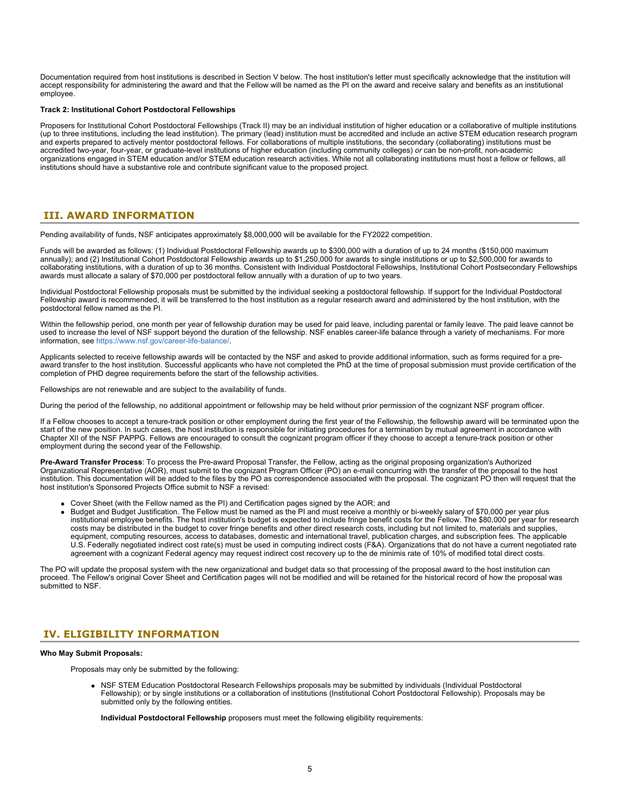Documentation required from host institutions is described in Section V below. The host institution's letter must specifically acknowledge that the institution will accept responsibility for administering the award and that the Fellow will be named as the PI on the award and receive salary and benefits as an institutional employee.

#### **Track 2: Institutional Cohort Postdoctoral Fellowships**

Proposers for Institutional Cohort Postdoctoral Fellowships (Track II) may be an individual institution of higher education or a collaborative of multiple institutions (up to three institutions, including the lead institution). The primary (lead) institution must be accredited and include an active STEM education research program and experts prepared to actively mentor postdoctoral fellows. For collaborations of multiple institutions, the secondary (collaborating) institutions must be accredited two-year, four-year, or graduate-level institutions of higher education (including community colleges) *or* can be non-profit, non-academic organizations engaged in STEM education and/or STEM education research activities. While not all collaborating institutions must host a fellow or fellows, all institutions should have a substantive role and contribute significant value to the proposed project.

## <span id="page-4-0"></span>**III. AWARD INFORMATION**

Pending availability of funds, NSF anticipates approximately \$8,000,000 will be available for the FY2022 competition.

Funds will be awarded as follows: (1) Individual Postdoctoral Fellowship awards up to \$300,000 with a duration of up to 24 months (\$150,000 maximum annually); and (2) Institutional Cohort Postdoctoral Fellowship awards up to \$1,250,000 for awards to single institutions or up to \$2,500,000 for awards to collaborating institutions, with a duration of up to 36 months. Consistent with Individual Postdoctoral Fellowships, Institutional Cohort Postsecondary Fellowships awards must allocate a salary of \$70,000 per postdoctoral fellow annually with a duration of up to two years.

Individual Postdoctoral Fellowship proposals must be submitted by the individual seeking a postdoctoral fellowship. If support for the Individual Postdoctoral Fellowship award is recommended, it will be transferred to the host institution as a regular research award and administered by the host institution, with the postdoctoral fellow named as the PI.

Within the fellowship period, one month per year of fellowship duration may be used for paid leave, including parental or family leave. The paid leave cannot be used to increase the level of NSF support beyond the duration of the fellowship. NSF enables career-life balance through a variety of mechanisms. For more information, see [https://www.nsf.gov/career-life-balance/.](https://www.nsf.gov/career-life-balance/)

Applicants selected to receive fellowship awards will be contacted by the NSF and asked to provide additional information, such as forms required for a preaward transfer to the host institution. Successful applicants who have not completed the PhD at the time of proposal submission must provide certification of the completion of PHD degree requirements before the start of the fellowship activities.

Fellowships are not renewable and are subject to the availability of funds.

During the period of the fellowship, no additional appointment or fellowship may be held without prior permission of the cognizant NSF program officer.

If a Fellow chooses to accept a tenure-track position or other employment during the first year of the Fellowship, the fellowship award will be terminated upon the start of the new position. In such cases, the host institution is responsible for initiating procedures for a termination by mutual agreement in accordance with Chapter XII of the NSF PAPPG. Fellows are encouraged to consult the cognizant program officer if they choose to accept a tenure-track position or other employment during the second year of the Fellowship.

**Pre-Award Transfer Process**: To process the Pre-award Proposal Transfer, the Fellow, acting as the original proposing organization's Authorized Organizational Representative (AOR), must submit to the cognizant Program Officer (PO) an e-mail concurring with the transfer of the proposal to the host institution. This documentation will be added to the files by the PO as correspondence associated with the proposal. The cognizant PO then will request that the host institution's Sponsored Projects Office submit to NSF a revised:

- Cover Sheet (with the Fellow named as the PI) and Certification pages signed by the AOR; and
- Budget and Budget Justification. The Fellow must be named as the PI and must receive a monthly or bi-weekly salary of \$70,000 per year plus institutional employee benefits. The host institution's budget is expected to include fringe benefit costs for the Fellow. The \$80,000 per year for research costs may be distributed in the budget to cover fringe benefits and other direct research costs, including but not limited to, materials and supplies, equipment, computing resources, access to databases, domestic and international travel, publication charges, and subscription fees. The applicable U.S. Federally negotiated indirect cost rate(s) must be used in computing indirect costs (F&A). Organizations that do not have a current negotiated rate agreement with a cognizant Federal agency may request indirect cost recovery up to the de minimis rate of 10% of modified total direct costs.

The PO will update the proposal system with the new organizational and budget data so that processing of the proposal award to the host institution can proceed. The Fellow's original Cover Sheet and Certification pages will not be modified and will be retained for the historical record of how the proposal was submitted to NSF.

## <span id="page-4-1"></span>**IV. ELIGIBILITY INFORMATION**

#### **Who May Submit Proposals:**

Proposals may only be submitted by the following:

NSF STEM Education Postdoctoral Research Fellowships proposals may be submitted by individuals (Individual Postdoctoral Fellowship); or by single institutions or a collaboration of institutions (Institutional Cohort Postdoctoral Fellowship). Proposals may be submitted only by the following entities.

**Individual Postdoctoral Fellowship** proposers must meet the following eligibility requirements: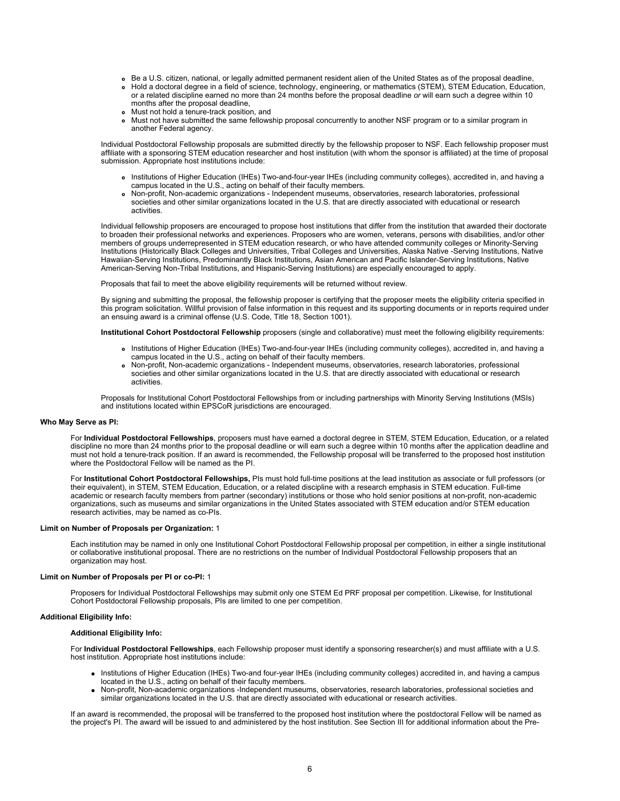- Be a U.S. citizen, national, or legally admitted permanent resident alien of the United States as of the proposal deadline,
- Hold a doctoral degree in a field of science, technology, engineering, or mathematics (STEM), STEM Education, Education, or a related discipline earned no more than 24 months before the proposal deadline *or* will earn such a degree within 10 months after the proposal deadline,
- Must not hold a tenure-track position, and
- Must not have submitted the same fellowship proposal concurrently to another NSF program or to a similar program in another Federal agency.

Individual Postdoctoral Fellowship proposals are submitted directly by the fellowship proposer to NSF. Each fellowship proposer must affiliate with a sponsoring STEM education researcher and host institution (with whom the sponsor is affiliated) at the time of proposal submission. Appropriate host institutions include:

- Institutions of Higher Education (IHEs) Two-and-four-year IHEs (including community colleges), accredited in, and having a campus located in the U.S., acting on behalf of their faculty members.
- Non-profit, Non-academic organizations Independent museums, observatories, research laboratories, professional societies and other similar organizations located in the U.S. that are directly associated with educational or research activities.

Individual fellowship proposers are encouraged to propose host institutions that differ from the institution that awarded their doctorate to broaden their professional networks and experiences. Proposers who are women, veterans, persons with disabilities, and/or other members of groups underrepresented in STEM education research, or who have attended community colleges or Minority-Serving Institutions (Historically Black Colleges and Universities, Tribal Colleges and Universities, Alaska Native -Serving Institutions, Native Hawaiian-Serving Institutions, Predominantly Black Institutions, Asian American and Pacific Islander-Serving Institutions, Native American-Serving Non-Tribal Institutions, and Hispanic-Serving Institutions) are especially encouraged to apply.

Proposals that fail to meet the above eligibility requirements will be returned without review.

By signing and submitting the proposal, the fellowship proposer is certifying that the proposer meets the eligibility criteria specified in this program solicitation. Willful provision of false information in this request and its supporting documents or in reports required under an ensuing award is a criminal offense (U.S. Code, Title 18, Section 1001).

**Institutional Cohort Postdoctoral Fellowship** proposers (single and collaborative) must meet the following eligibility requirements:

- Institutions of Higher Education (IHEs) Two-and-four-year IHEs (including community colleges), accredited in, and having a campus located in the U.S., acting on behalf of their faculty members.
- Non-profit, Non-academic organizations Independent museums, observatories, research laboratories, professional societies and other similar organizations located in the U.S. that are directly associated with educational or research activities.

Proposals for Institutional Cohort Postdoctoral Fellowships from or including partnerships with Minority Serving Institutions (MSIs) and institutions located within EPSCoR jurisdictions are encouraged.

#### **Who May Serve as PI:**

For **Individual Postdoctoral Fellowships**, proposers must have earned a doctoral degree in STEM, STEM Education, Education, or a related discipline no more than 24 months prior to the proposal deadline or will earn such a degree within 10 months after the application deadline and must not hold a tenure-track position. If an award is recommended, the Fellowship proposal will be transferred to the proposed host institution where the Postdoctoral Fellow will be named as the PI

For **Institutional Cohort Postdoctoral Fellowships,** PIs must hold full-time positions at the lead institution as associate or full professors (or their equivalent), in STEM, STEM Education, Education, or a related discipline with a research emphasis in STEM education. Full-time academic or research faculty members from partner (secondary) institutions or those who hold senior positions at non-profit, non-academic organizations, such as museums and similar organizations in the United States associated with STEM education and/or STEM education research activities, may be named as co-PIs.

#### **Limit on Number of Proposals per Organization:** 1

Each institution may be named in only one Institutional Cohort Postdoctoral Fellowship proposal per competition, in either a single institutional or collaborative institutional proposal. There are no restrictions on the number of Individual Postdoctoral Fellowship proposers that an organization may host.

#### **Limit on Number of Proposals per PI or co-PI:** 1

Proposers for Individual Postdoctoral Fellowships may submit only one STEM Ed PRF proposal per competition. Likewise, for Institutional Cohort Postdoctoral Fellowship proposals, PIs are limited to one per competition.

#### **Additional Eligibility Info:**

#### **Additional Eligibility Info:**

For **Individual Postdoctoral Fellowships**, each Fellowship proposer must identify a sponsoring researcher(s) and must affiliate with a U.S. host institution. Appropriate host institutions include:

- Institutions of Higher Education (IHEs) Two-and four-year IHEs (including community colleges) accredited in, and having a campus located in the U.S., acting on behalf of their faculty members.
- Non-profit, Non-academic organizations -Independent museums, observatories, research laboratories, professional societies and similar organizations located in the U.S. that are directly associated with educational or research activities.

If an award is recommended, the proposal will be transferred to the proposed host institution where the postdoctoral Fellow will be named as the project's PI. The award will be issued to and administered by the host institution. See Section III for additional information about the Pre-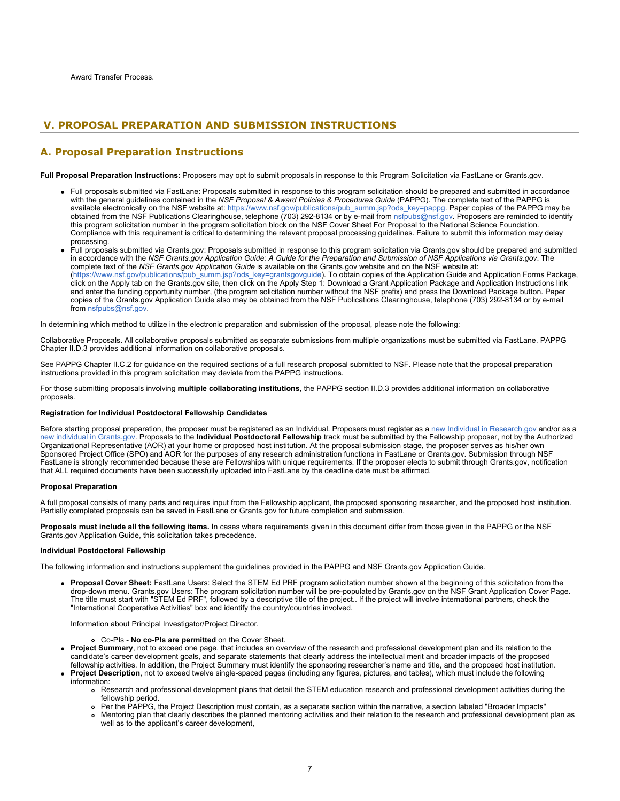## <span id="page-6-0"></span>**V. PROPOSAL PREPARATION AND SUBMISSION INSTRUCTIONS**

## **A. Proposal Preparation Instructions**

**Full Proposal Preparation Instructions**: Proposers may opt to submit proposals in response to this Program Solicitation via FastLane or Grants.gov.

- Full proposals submitted via FastLane: Proposals submitted in response to this program solicitation should be prepared and submitted in accordance with the general guidelines contained in the *NSF Proposal & Award Policies & Procedures Guide* (PAPPG). The complete text of the PAPPG is available electronically on the NSF website at: [https://www.nsf.gov/publications/pub\\_summ.jsp?ods\\_key=pappg](https://www.nsf.gov/publications/pub_summ.jsp?ods_key=pappg). Paper copies of the PAPPG may be obtained from the NSF Publications Clearinghouse, telephone (703) 292-8134 or by e-mail from [nsfpubs@nsf.gov](mailto:nsfpubs@nsf.gov). Proposers are reminded to identify this program solicitation number in the program solicitation block on the NSF Cover Sheet For Proposal to the National Science Foundation. Compliance with this requirement is critical to determining the relevant proposal processing guidelines. Failure to submit this information may delay processing.
- Full proposals submitted via Grants.gov: Proposals submitted in response to this program solicitation via Grants.gov should be prepared and submitted in accordance with the *NSF Grants.gov Application Guide: A Guide for the Preparation and Submission of NSF Applications via Grants.gov*. The complete text of the *NSF Grants.gov Application Guide* is available on the Grants.gov website and on the NSF website at: [\(https://www.nsf.gov/publications/pub\\_summ.jsp?ods\\_key=grantsgovguide](https://www.nsf.gov/publications/pub_summ.jsp?ods_key=grantsgovguide)). To obtain copies of the Application Guide and Application Forms Package, click on the Apply tab on the Grants.gov site, then click on the Apply Step 1: Download a Grant Application Package and Application Instructions link and enter the funding opportunity number, (the program solicitation number without the NSF prefix) and press the Download Package button. Paper copies of the Grants.gov Application Guide also may be obtained from the NSF Publications Clearinghouse, telephone (703) 292-8134 or by e-mail from [nsfpubs@nsf.gov](mailto:nsfpubs@nsf.gov).

In determining which method to utilize in the electronic preparation and submission of the proposal, please note the following:

Collaborative Proposals. All collaborative proposals submitted as separate submissions from multiple organizations must be submitted via FastLane. PAPPG Chapter II.D.3 provides additional information on collaborative proposals.

See PAPPG Chapter II.C.2 for guidance on the required sections of a full research proposal submitted to NSF. Please note that the proposal preparation instructions provided in this program solicitation may deviate from the PAPPG instructions.

For those submitting proposals involving **multiple collaborating institutions**, the PAPPG section II.D.3 provides additional information on collaborative proposals.

#### **Registration for Individual Postdoctoral Fellowship Candidates**

Before starting proposal preparation, the proposer must be registered as an Individual. Proposers must register as a [new Individual in Research.gov](https://www.research.gov/accountmgmt/assets/welcomeunaffiliated.html) and/or as a [new individual in Grants.gov.](https://www.grants.gov/web/grants/applicants/registration.html) Proposals to the **Individual Postdoctoral Fellowship** track must be submitted by the Fellowship proposer, not by the Authorized Organizational Representative (AOR) at your home or proposed host institution. At the proposal submission stage, the proposer serves as his/her own Sponsored Project Office (SPO) and AOR for the purposes of any research administration functions in FastLane or Grants.gov. Submission through NSF FastLane is strongly recommended because these are Fellowships with unique requirements. If the proposer elects to submit through Grants.gov, notification that ALL required documents have been successfully uploaded into FastLane by the deadline date must be affirmed.

#### **Proposal Preparation**

A full proposal consists of many parts and requires input from the Fellowship applicant, the proposed sponsoring researcher, and the proposed host institution. Partially completed proposals can be saved in FastLane or Grants.gov for future completion and submission.

**Proposals must include all the following items.** In cases where requirements given in this document differ from those given in the PAPPG or the NSF Grants.gov Application Guide, this solicitation takes precedence.

#### **Individual Postdoctoral Fellowship**

The following information and instructions supplement the guidelines provided in the PAPPG and NSF Grants.gov Application Guide.

**Proposal Cover Sheet:** FastLane Users: Select the STEM Ed PRF program solicitation number shown at the beginning of this solicitation from the drop-down menu. Grants.gov Users: The program solicitation number will be pre-populated by Grants.gov on the NSF Grant Application Cover Page. The title must start with "STEM Ed PRF", followed by a descriptive title of the project.. If the project will involve international partners, check the "International Cooperative Activities" box and identify the country/countries involved.

Information about Principal Investigator/Project Director.

- Co-PIs **No co-PIs are permitted** on the Cover Sheet.
- **Project Summary**, not to exceed one page, that includes an overview of the research and professional development plan and its relation to the candidate's career development goals, and separate statements that clearly address the intellectual merit and broader impacts of the proposed fellowship activities. In addition, the Project Summary must identify the sponsoring researcher's name and title, and the proposed host institution.
- **Project Description**, not to exceed twelve single-spaced pages (including any figures, pictures, and tables), which must include the following
- information:
	- Research and professional development plans that detail the STEM education research and professional development activities during the fellowship period.
	- Per the PAPPG, the Project Description must contain, as a separate section within the narrative, a section labeled "Broader Impacts"
	- Mentoring plan that clearly describes the planned mentoring activities and their relation to the research and professional development plan as well as to the applicant's career development,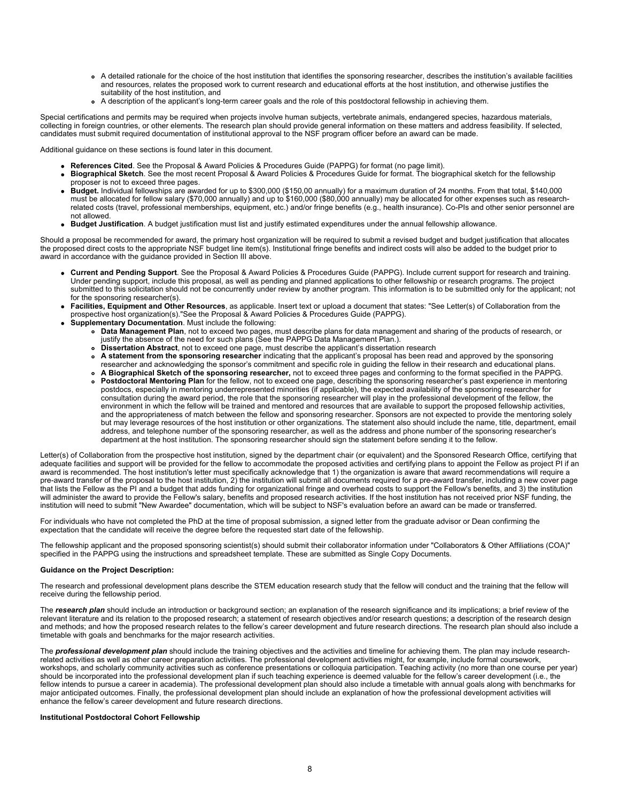- A detailed rationale for the choice of the host institution that identifies the sponsoring researcher, describes the institution's available facilities and resources, relates the proposed work to current research and educational efforts at the host institution, and otherwise justifies the suitability of the host institution, and
- A description of the applicant's long-term career goals and the role of this postdoctoral fellowship in achieving them.

Special certifications and permits may be required when projects involve human subjects, vertebrate animals, endangered species, hazardous materials, collecting in foreign countries, or other elements. The research plan should provide general information on these matters and address feasibility. If selected, candidates must submit required documentation of institutional approval to the NSF program officer before an award can be made.

Additional guidance on these sections is found later in this document.

- **References Cited**. See the Proposal & Award Policies & Procedures Guide (PAPPG) for format (no page limit).
- **Biographical Sketch**. See the most recent Proposal & Award Policies & Procedures Guide for format. The biographical sketch for the fellowship proposer is not to exceed three pages.
- **Budget.** Individual fellowships are awarded for up to \$300,000 (\$150,00 annually) for a maximum duration of 24 months. From that total, \$140,000 must be allocated for fellow salary (\$70,000 annually) and up to \$160,000 (\$80,000 annually) may be allocated for other expenses such as researchrelated costs (travel, professional memberships, equipment, etc.) and/or fringe benefits (e.g., health insurance). Co-PIs and other senior personnel are not allowed.
- **Budget Justification**. A budget justification must list and justify estimated expenditures under the annual fellowship allowance.

Should a proposal be recommended for award, the primary host organization will be required to submit a revised budget and budget justification that allocates the proposed direct costs to the appropriate NSF budget line item(s). Institutional fringe benefits and indirect costs will also be added to the budget prior to award in accordance with the guidance provided in Section III above.

- **Current and Pending Support**. See the Proposal & Award Policies & Procedures Guide (PAPPG). Include current support for research and training. Under pending support, include this proposal, as well as pending and planned applications to other fellowship or research programs. The project submitted to this solicitation should not be concurrently under review by another program. This information is to be submitted only for the applicant; not for the sponsoring researcher(s).
- **Facilities, Equipment and Other Resources**, as applicable. Insert text or upload a document that states: "See Letter(s) of Collaboration from the prospective host organization(s)."See the Proposal & Award Policies & Procedures Guide (PAPPG).
- **Supplementary Documentation**. Must include the following:
	- **Data Management Plan**, not to exceed two pages, must describe plans for data management and sharing of the products of research, or justify the absence of the need for such plans (See the PAPPG Data Management Plan.).
	- **Dissertation Abstract**, not to exceed one page, must describe the applicant's dissertation research
	- **A statement from the sponsoring researcher** indicating that the applicant's proposal has been read and approved by the sponsoring researcher and acknowledging the sponsor's commitment and specific role in guiding the fellow in their research and educational plans.
	- **A Biographical Sketch of the sponsoring researcher,** not to exceed three pages and conforming to the format specified in the PAPPG. **Postdoctoral Mentoring Plan** for the fellow, not to exceed one page, describing the sponsoring researcher's past experience in mentoring postdocs, especially in mentoring underrepresented minorities (if applicable), the expected availability of the sponsoring researcher for consultation during the award period, the role that the sponsoring researcher will play in the professional development of the fellow, the environment in which the fellow will be trained and mentored and resources that are available to support the proposed fellowship activities, and the appropriateness of match between the fellow and sponsoring researcher. Sponsors are not expected to provide the mentoring solely but may leverage resources of the host institution or other organizations. The statement also should include the name, title, department, email address, and telephone number of the sponsoring researcher, as well as the address and phone number of the sponsoring researcher's department at the host institution. The sponsoring researcher should sign the statement before sending it to the fellow.

Letter(s) of Collaboration from the prospective host institution, signed by the department chair (or equivalent) and the Sponsored Research Office, certifying that adequate facilities and support will be provided for the fellow to accommodate the proposed activities and certifying plans to appoint the Fellow as project PI if an award is recommended. The host institution's letter must specifically acknowledge that 1) the organization is aware that award recommendations will require a pre-award transfer of the proposal to the host institution, 2) the institution will submit all documents required for a pre-award transfer, including a new cover page that lists the Fellow as the PI and a budget that adds funding for organizational fringe and overhead costs to support the Fellow's benefits, and 3) the institution will administer the award to provide the Fellow's salary, benefits and proposed research activities. If the host institution has not received prior NSF funding, the institution will need to submit "New Awardee" documentation, which will be subject to NSF's evaluation before an award can be made or transferred.

For individuals who have not completed the PhD at the time of proposal submission, a signed letter from the graduate advisor or Dean confirming the expectation that the candidate will receive the degree before the requested start date of the fellowship.

The fellowship applicant and the proposed sponsoring scientist(s) should submit their collaborator information under "Collaborators & Other Affiliations (COA)" specified in the PAPPG using the instructions and spreadsheet template. These are submitted as Single Copy Documents.

#### **Guidance on the Project Description:**

The research and professional development plans describe the STEM education research study that the fellow will conduct and the training that the fellow will receive during the fellowship period.

The *research plan* should include an introduction or background section; an explanation of the research significance and its implications; a brief review of the relevant literature and its relation to the proposed research; a statement of research objectives and/or research questions; a description of the research design and methods; and how the proposed research relates to the fellow's career development and future research directions. The research plan should also include a timetable with goals and benchmarks for the major research activities.

The **professional development plan** should include the training objectives and the activities and timeline for achieving them. The plan may include researchrelated activities as well as other career preparation activities. The professional development activities might, for example, include formal coursework, workshops, and scholarly community activities such as conference presentations or colloquia participation. Teaching activity (no more than one course per year) should be incorporated into the professional development plan if such teaching experience is deemed valuable for the fellow's career development (i.e., the fellow intends to pursue a career in academia). The professional development plan should also include a timetable with annual goals along with benchmarks for major anticipated outcomes. Finally, the professional development plan should include an explanation of how the professional development activities will enhance the fellow's career development and future research directions.

#### **Institutional Postdoctoral Cohort Fellowship**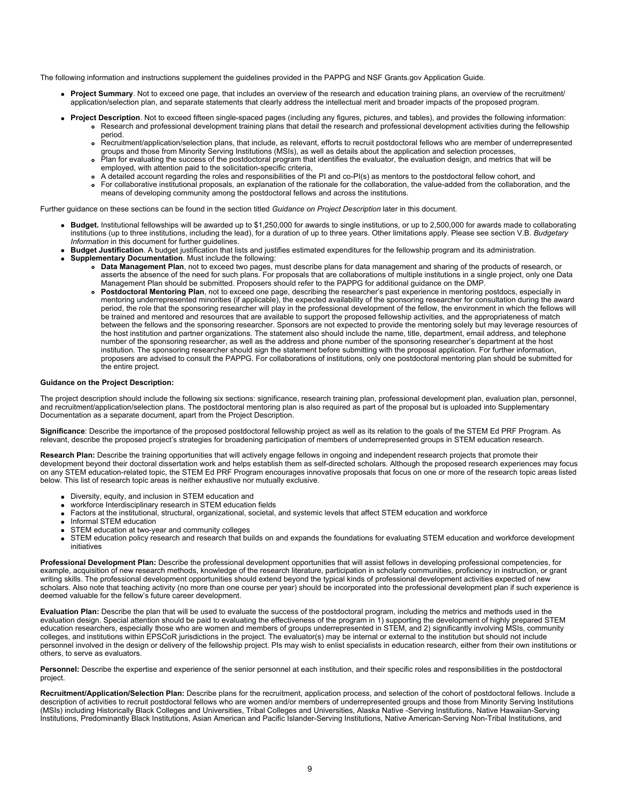The following information and instructions supplement the guidelines provided in the PAPPG and NSF Grants.gov Application Guide.

- **Project Summary**. Not to exceed one page, that includes an overview of the research and education training plans, an overview of the recruitment/ application/selection plan, and separate statements that clearly address the intellectual merit and broader impacts of the proposed program.
- **Project Description**. Not to exceed fifteen single-spaced pages (including any figures, pictures, and tables), and provides the following information: Research and professional development training plans that detail the research and professional development activities during the fellowship period.
	- Recruitment/application/selection plans, that include, as relevant, efforts to recruit postdoctoral fellows who are member of underrepresented groups and those from Minority Serving Institutions (MSIs), as well as details about the application and selection processes,
	- Plan for evaluating the success of the postdoctoral program that identifies the evaluator, the evaluation design, and metrics that will be employed, with attention paid to the solicitation-specific criteria,
	- A detailed account regarding the roles and responsibilities of the PI and co-PI(s) as mentors to the postdoctoral fellow cohort, and
	- For collaborative institutional proposals, an explanation of the rationale for the collaboration, the value-added from the collaboration, and the means of developing community among the postdoctoral fellows and across the institutions.

Further guidance on these sections can be found in the section titled *Guidance on Project Description* later in this document.

- **Budget.** Institutional fellowships will be awarded up to \$1,250,000 for awards to single institutions, or up to 2,500,000 for awards made to collaborating institutions (up to three institutions, including the lead), for a duration of up to three years. Other limitations apply. Please see section V.B. *Budgetary Information* in this document for further guidelines.
- **Budget Justification**. A budget justification that lists and justifies estimated expenditures for the fellowship program and its administration.
	- **Supplementary Documentation**. Must include the following:
		- **Data Management Plan**, not to exceed two pages, must describe plans for data management and sharing of the products of research, or asserts the absence of the need for such plans. For proposals that are collaborations of multiple institutions in a single project, only one Data Management Plan should be submitted. Proposers should refer to the PAPPG for additional guidance on the DMP.
		- **Postdoctoral Mentoring Plan**, not to exceed one page, describing the researcher's past experience in mentoring postdocs, especially in mentoring underrepresented minorities (if applicable), the expected availability of the sponsoring researcher for consultation during the award period, the role that the sponsoring researcher will play in the professional development of the fellow, the environment in which the fellows will be trained and mentored and resources that are available to support the proposed fellowship activities, and the appropriateness of match between the fellows and the sponsoring researcher. Sponsors are not expected to provide the mentoring solely but may leverage resources of the host institution and partner organizations. The statement also should include the name, title, department, email address, and telephone number of the sponsoring researcher, as well as the address and phone number of the sponsoring researcher's department at the host institution. The sponsoring researcher should sign the statement before submitting with the proposal application. For further information, proposers are advised to consult the PAPPG. For collaborations of institutions, only one postdoctoral mentoring plan should be submitted for the entire project.

#### **Guidance on the Project Description:**

The project description should include the following six sections: significance, research training plan, professional development plan, evaluation plan, personnel, and recruitment/application/selection plans. The postdoctoral mentoring plan is also required as part of the proposal but is uploaded into Supplementary Documentation as a separate document, apart from the Project Description.

**Significance**: Describe the importance of the proposed postdoctoral fellowship project as well as its relation to the goals of the STEM Ed PRF Program. As relevant, describe the proposed project's strategies for broadening participation of members of underrepresented groups in STEM education research.

**Research Plan:** Describe the training opportunities that will actively engage fellows in ongoing and independent research projects that promote their development beyond their doctoral dissertation work and helps establish them as self-directed scholars. Although the proposed research experiences may focus on any STEM education-related topic, the STEM Ed PRF Program encourages innovative proposals that focus on one or more of the research topic areas listed below. This list of research topic areas is neither exhaustive nor mutually exclusive.

- Diversity, equity, and inclusion in STEM education and
- workforce Interdisciplinary research in STEM education fields
- Factors at the institutional, structural, organizational, societal, and systemic levels that affect STEM education and workforce
- Informal STEM education
- STEM education at two-year and community colleges
- STEM education policy research and research that builds on and expands the foundations for evaluating STEM education and workforce development  $\bullet$ initiatives

**Professional Development Plan:** Describe the professional development opportunities that will assist fellows in developing professional competencies, for example, acquisition of new research methods, knowledge of the research literature, participation in scholarly communities, proficiency in instruction, or grant writing skills. The professional development opportunities should extend beyond the typical kinds of professional development activities expected of new scholars. Also note that teaching activity (no more than one course per year) should be incorporated into the professional development plan if such experience is deemed valuable for the fellow's future career development.

**Evaluation Plan:** Describe the plan that will be used to evaluate the success of the postdoctoral program, including the metrics and methods used in the evaluation design. Special attention should be paid to evaluating the effectiveness of the program in 1) supporting the development of highly prepared STEM education researchers, especially those who are women and members of groups underrepresented in STEM, and 2) significantly involving MSIs, community colleges, and institutions within EPSCoR jurisdictions in the project. The evaluator(s) may be internal or external to the institution but should not include personnel involved in the design or delivery of the fellowship project. PIs may wish to enlist specialists in education research, either from their own institutions or others, to serve as evaluators.

Personnel: Describe the expertise and experience of the senior personnel at each institution, and their specific roles and responsibilities in the postdoctoral project.

**Recruitment/Application/Selection Plan:** Describe plans for the recruitment, application process, and selection of the cohort of postdoctoral fellows. Include a description of activities to recruit postdoctoral fellows who are women and/or members of underrepresented groups and those from Minority Serving Institutions (MSIs) including Historically Black Colleges and Universities, Tribal Colleges and Universities, Alaska Native -Serving Institutions, Native Hawaiian-Serving Institutions, Predominantly Black Institutions, Asian American and Pacific Islander-Serving Institutions, Native American-Serving Non-Tribal Institutions, and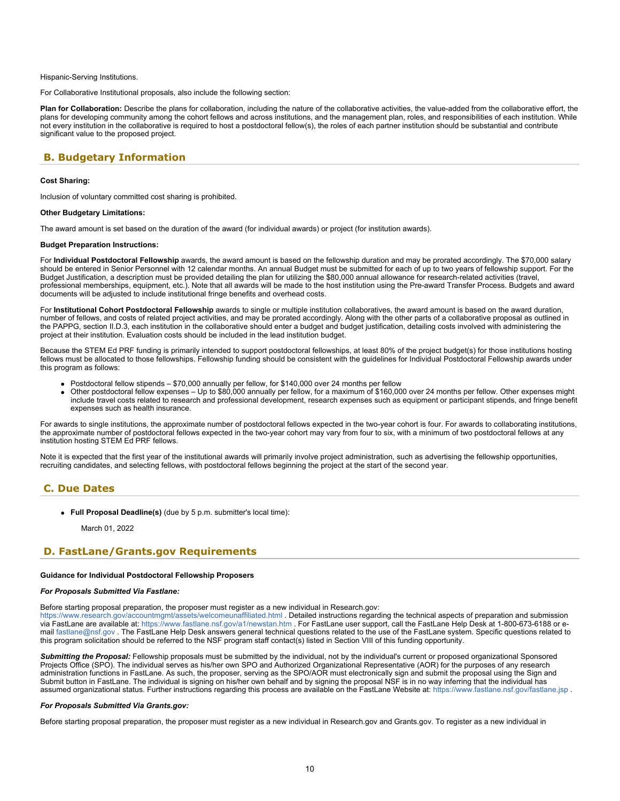Hispanic-Serving Institutions.

For Collaborative Institutional proposals, also include the following section:

Plan for Collaboration: Describe the plans for collaboration, including the nature of the collaborative activities, the value-added from the collaborative effort, the plans for developing community among the cohort fellows and across institutions, and the management plan, roles, and responsibilities of each institution. While not every institution in the collaborative is required to host a postdoctoral fellow(s), the roles of each partner institution should be substantial and contribute significant value to the proposed project.

## <span id="page-9-0"></span>**B. Budgetary Information**

#### **Cost Sharing:**

Inclusion of voluntary committed cost sharing is prohibited.

#### **Other Budgetary Limitations:**

The award amount is set based on the duration of the award (for individual awards) or project (for institution awards).

#### **Budget Preparation Instructions:**

For **Individual Postdoctoral Fellowship** awards, the award amount is based on the fellowship duration and may be prorated accordingly. The \$70,000 salary should be entered in Senior Personnel with 12 calendar months. An annual Budget must be submitted for each of up to two years of fellowship support. For the Budget Justification, a description must be provided detailing the plan for utilizing the \$80,000 annual allowance for research-related activities (travel, professional memberships, equipment, etc.). Note that all awards will be made to the host institution using the Pre-award Transfer Process. Budgets and award documents will be adjusted to include institutional fringe benefits and overhead costs.

For **Institutional Cohort Postdoctoral Fellowship** awards to single or multiple institution collaboratives, the award amount is based on the award duration, number of fellows, and costs of related project activities, and may be prorated accordingly. Along with the other parts of a collaborative proposal as outlined in the PAPPG, section II.D.3, each institution in the collaborative should enter a budget and budget justification, detailing costs involved with administering the project at their institution. Evaluation costs should be included in the lead institution budget.

Because the STEM Ed PRF funding is primarily intended to support postdoctoral fellowships, at least 80% of the project budget(s) for those institutions hosting fellows must be allocated to those fellowships. Fellowship funding should be consistent with the guidelines for Individual Postdoctoral Fellowship awards under this program as follows:

- Postdoctoral fellow stipends \$70,000 annually per fellow, for \$140,000 over 24 months per fellow
- Other postdoctoral fellow expenses Up to \$80,000 annually per fellow, for a maximum of \$160,000 over 24 months per fellow. Other expenses might include travel costs related to research and professional development, research expenses such as equipment or participant stipends, and fringe benefit expenses such as health insurance.

For awards to single institutions, the approximate number of postdoctoral fellows expected in the two-year cohort is four. For awards to collaborating institutions, the approximate number of postdoctoral fellows expected in the two-year cohort may vary from four to six, with a minimum of two postdoctoral fellows at any institution hosting STEM Ed PRF fellows.

Note it is expected that the first year of the institutional awards will primarily involve project administration, such as advertising the fellowship opportunities, recruiting candidates, and selecting fellows, with postdoctoral fellows beginning the project at the start of the second year.

#### <span id="page-9-1"></span>**C. Due Dates**

**Full Proposal Deadline(s)** (due by 5 p.m. submitter's local time):

March 01, 2022

### <span id="page-9-2"></span>**D. FastLane/Grants.gov Requirements**

#### **Guidance for Individual Postdoctoral Fellowship Proposers**

#### *For Proposals Submitted Via Fastlane:*

Before starting proposal preparation, the proposer must register as a new individual in Research.gov:

<https://www.research.gov/accountmgmt/assets/welcomeunaffiliated.html>. Detailed instructions regarding the technical aspects of preparation and submission via FastLane are available at: <https://www.fastlane.nsf.gov/a1/newstan.htm>. For FastLane user support, call the FastLane Help Desk at 1-800-673-6188 or email [fastlane@nsf.gov .](mailto:fastlane@nsf.gov) The FastLane Help Desk answers general technical questions related to the use of the FastLane system. Specific questions related to this program solicitation should be referred to the NSF program staff contact(s) listed in Section VIII of this funding opportunity.

Submitting the Proposal: Fellowship proposals must be submitted by the individual, not by the individual's current or proposed organizational Sponsored Projects Office (SPO). The individual serves as his/her own SPO and Authorized Organizational Representative (AOR) for the purposes of any research administration functions in FastLane. As such, the proposer, serving as the SPO/AOR must electronically sign and submit the proposal using the Sign and Submit button in FastLane. The individual is signing on his/her own behalf and by signing the proposal NSF is in no way inferring that the individual has assumed organizational status. Further instructions regarding this process are available on the FastLane Website at: <https://www.fastlane.nsf.gov/fastlane.jsp>.

#### *For Proposals Submitted Via Grants.gov:*

Before starting proposal preparation, the proposer must register as a new individual in Research.gov and Grants.gov. To register as a new individual in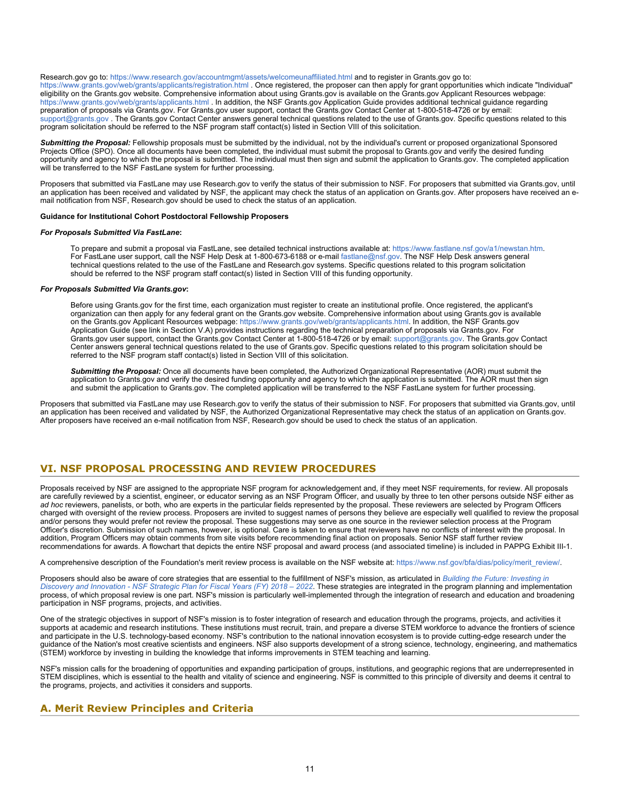Research.gov go to: <https://www.research.gov/accountmgmt/assets/welcomeunaffiliated.html>and to register in Grants.gov go to: [https://www.grants.gov/web/grants/applicants/registration.html .](https://www.grants.gov/web/grants/applicants/registration.html) Once registered, the proposer can then apply for grant opportunities which indicate "Individual" eligibility on the Grants.gov website. Comprehensive information about using Grants.gov is available on the Grants.gov Applicant Resources webpage: [https://www.grants.gov/web/grants/applicants.html .](https://www.grants.gov/web/grants/applicants.html) In addition, the NSF Grants.gov Application Guide provides additional technical guidance regarding preparation of proposals via Grants.gov. For Grants.gov user support, contact the Grants.gov Contact Center at 1-800-518-4726 or by email: [support@grants.gov](mailto:support@grants.gov) . The Grants.gov Contact Center answers general technical questions related to the use of Grants.gov. Specific questions related to this program solicitation should be referred to the NSF program staff contact(s) listed in Section VIII of this solicitation.

Submitting the Proposal: Fellowship proposals must be submitted by the individual, not by the individual's current or proposed organizational Sponsored Projects Office (SPO). Once all documents have been completed, the individual must submit the proposal to Grants.gov and verify the desired funding opportunity and agency to which the proposal is submitted. The individual must then sign and submit the application to Grants.gov. The completed application will be transferred to the NSF FastLane system for further processing.

Proposers that submitted via FastLane may use Research.gov to verify the status of their submission to NSF. For proposers that submitted via Grants.gov, until an application has been received and validated by NSF, the applicant may check the status of an application on Grants.gov. After proposers have received an email notification from NSF, Research.gov should be used to check the status of an application.

#### **Guidance for Institutional Cohort Postdoctoral Fellowship Proposers**

#### *For Proposals Submitted Via FastLane***:**

To prepare and submit a proposal via FastLane, see detailed technical instructions available at: <https://www.fastlane.nsf.gov/a1/newstan.htm>. For FastLane user support, call the NSF Help Desk at 1-800-673-6188 or e-mail [fastlane@nsf.gov](mailto:fastlane@nsf.gov). The NSF Help Desk answers general technical questions related to the use of the FastLane and Research.gov systems. Specific questions related to this program solicitation should be referred to the NSF program staff contact(s) listed in Section VIII of this funding opportunity.

#### *For Proposals Submitted Via Grants.gov***:**

Before using Grants.gov for the first time, each organization must register to create an institutional profile. Once registered, the applicant's organization can then apply for any federal grant on the Grants.gov website. Comprehensive information about using Grants.gov is available on the Grants.gov Applicant Resources webpage:<https://www.grants.gov/web/grants/applicants.html>. In addition, the NSF Grants.gov Application Guide (see link in Section V.A) provides instructions regarding the technical preparation of proposals via Grants.gov. For Grants.gov user support, contact the Grants.gov Contact Center at 1-800-518-4726 or by email: [support@grants.gov.](mailto:support@grants.gov) The Grants.gov Contact Center answers general technical questions related to the use of Grants.gov. Specific questions related to this program solicitation should be referred to the NSF program staff contact(s) listed in Section VIII of this solicitation.

*Submitting the Proposal:* Once all documents have been completed, the Authorized Organizational Representative (AOR) must submit the application to Grants.gov and verify the desired funding opportunity and agency to which the application is submitted. The AOR must then sign and submit the application to Grants.gov. The completed application will be transferred to the NSF FastLane system for further processing.

Proposers that submitted via FastLane may use Research.gov to verify the status of their submission to NSF. For proposers that submitted via Grants.gov, until an application has been received and validated by NSF, the Authorized Organizational Representative may check the status of an application on Grants.gov. After proposers have received an e-mail notification from NSF, Research.gov should be used to check the status of an application.

## <span id="page-10-0"></span>**VI. NSF PROPOSAL PROCESSING AND REVIEW PROCEDURES**

Proposals received by NSF are assigned to the appropriate NSF program for acknowledgement and, if they meet NSF requirements, for review. All proposals are carefully reviewed by a scientist, engineer, or educator serving as an NSF Program Officer, and usually by three to ten other persons outside NSF either as *ad hoc* reviewers, panelists, or both, who are experts in the particular fields represented by the proposal. These reviewers are selected by Program Officers charged with oversight of the review process. Proposers are invited to suggest names of persons they believe are especially well qualified to review the proposal and/or persons they would prefer not review the proposal. These suggestions may serve as one source in the reviewer selection process at the Program Officer's discretion. Submission of such names, however, is optional. Care is taken to ensure that reviewers have no conflicts of interest with the proposal. In addition, Program Officers may obtain comments from site visits before recommending final action on proposals. Senior NSF staff further review recommendations for awards. A flowchart that depicts the entire NSF proposal and award process (and associated timeline) is included in PAPPG Exhibit III-1.

A comprehensive description of the Foundation's merit review process is available on the NSF website at: [https://www.nsf.gov/bfa/dias/policy/merit\\_review/](https://www.nsf.gov/bfa/dias/policy/merit_review/).

Proposers should also be aware of core strategies that are essential to the fulfillment of NSF's mission, as articulated in *[Building the Future: Investing in](https://www.nsf.gov/publications/pub_summ.jsp?ods_key=nsf18045) [Discovery and Innovation - NSF Strategic Plan for Fiscal Years \(FY\) 2018 – 2022](https://www.nsf.gov/publications/pub_summ.jsp?ods_key=nsf18045)*. These strategies are integrated in the program planning and implementation process, of which proposal review is one part. NSF's mission is particularly well-implemented through the integration of research and education and broadening participation in NSF programs, projects, and activities.

One of the strategic objectives in support of NSF's mission is to foster integration of research and education through the programs, projects, and activities it supports at academic and research institutions. These institutions must recruit, train, and prepare a diverse STEM workforce to advance the frontiers of science and participate in the U.S. technology-based economy. NSF's contribution to the national innovation ecosystem is to provide cutting-edge research under the guidance of the Nation's most creative scientists and engineers. NSF also supports development of a strong science, technology, engineering, and mathematics (STEM) workforce by investing in building the knowledge that informs improvements in STEM teaching and learning.

NSF's mission calls for the broadening of opportunities and expanding participation of groups, institutions, and geographic regions that are underrepresented in STEM disciplines, which is essential to the health and vitality of science and engineering. NSF is committed to this principle of diversity and deems it central to the programs, projects, and activities it considers and supports.

## <span id="page-10-1"></span>**A. Merit Review Principles and Criteria**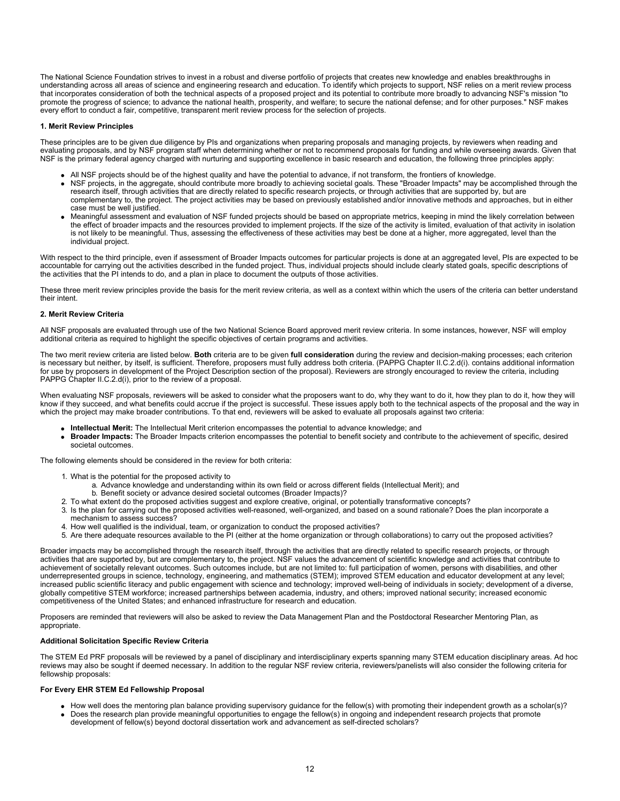The National Science Foundation strives to invest in a robust and diverse portfolio of projects that creates new knowledge and enables breakthroughs in understanding across all areas of science and engineering research and education. To identify which projects to support, NSF relies on a merit review process that incorporates consideration of both the technical aspects of a proposed project and its potential to contribute more broadly to advancing NSF's mission "to promote the progress of science; to advance the national health, prosperity, and welfare; to secure the national defense; and for other purposes." NSF makes every effort to conduct a fair, competitive, transparent merit review process for the selection of projects.

#### **1. Merit Review Principles**

These principles are to be given due diligence by PIs and organizations when preparing proposals and managing projects, by reviewers when reading and evaluating proposals, and by NSF program staff when determining whether or not to recommend proposals for funding and while overseeing awards. Given that NSF is the primary federal agency charged with nurturing and supporting excellence in basic research and education, the following three principles apply:

- All NSF projects should be of the highest quality and have the potential to advance, if not transform, the frontiers of knowledge.
- NSF projects, in the aggregate, should contribute more broadly to achieving societal goals. These "Broader Impacts" may be accomplished through the research itself, through activities that are directly related to specific research projects, or through activities that are supported by, but are complementary to, the project. The project activities may be based on previously established and/or innovative methods and approaches, but in either case must be well justified.
- Meaningful assessment and evaluation of NSF funded projects should be based on appropriate metrics, keeping in mind the likely correlation between the effect of broader impacts and the resources provided to implement projects. If the size of the activity is limited, evaluation of that activity in isolation is not likely to be meaningful. Thus, assessing the effectiveness of these activities may best be done at a higher, more aggregated, level than the individual project.

With respect to the third principle, even if assessment of Broader Impacts outcomes for particular projects is done at an aggregated level, PIs are expected to be accountable for carrying out the activities described in the funded project. Thus, individual projects should include clearly stated goals, specific descriptions of the activities that the PI intends to do, and a plan in place to document the outputs of those activities.

These three merit review principles provide the basis for the merit review criteria, as well as a context within which the users of the criteria can better understand their intent.

#### **2. Merit Review Criteria**

All NSF proposals are evaluated through use of the two National Science Board approved merit review criteria. In some instances, however, NSF will employ additional criteria as required to highlight the specific objectives of certain programs and activities.

The two merit review criteria are listed below. **Both** criteria are to be given **full consideration** during the review and decision-making processes; each criterion is necessary but neither, by itself, is sufficient. Therefore, proposers must fully address both criteria. (PAPPG Chapter II.C.2.d(i). contains additional information for use by proposers in development of the Project Description section of the proposal). Reviewers are strongly encouraged to review the criteria, including PAPPG Chapter II.C.2.d(i), prior to the review of a proposal.

When evaluating NSF proposals, reviewers will be asked to consider what the proposers want to do, why they want to do it, how they plan to do it, how they will know if they succeed, and what benefits could accrue if the project is successful. These issues apply both to the technical aspects of the proposal and the way in which the project may make broader contributions. To that end, reviewers will be asked to evaluate all proposals against two criteria:

- **Intellectual Merit:** The Intellectual Merit criterion encompasses the potential to advance knowledge; and
- **Broader Impacts:** The Broader Impacts criterion encompasses the potential to benefit society and contribute to the achievement of specific, desired societal outcomes.

The following elements should be considered in the review for both criteria:

- 1. What is the potential for the proposed activity to
	- a. Advance knowledge and understanding within its own field or across different fields (Intellectual Merit); and
	- b. Benefit society or advance desired societal outcomes (Broader Impacts)?
- 2. To what extent do the proposed activities suggest and explore creative, original, or potentially transformative concepts?
- 3. Is the plan for carrying out the proposed activities well-reasoned, well-organized, and based on a sound rationale? Does the plan incorporate a mechanism to assess success?
- 4. How well qualified is the individual, team, or organization to conduct the proposed activities?
- 5. Are there adequate resources available to the PI (either at the home organization or through collaborations) to carry out the proposed activities?

Broader impacts may be accomplished through the research itself, through the activities that are directly related to specific research projects, or through activities that are supported by, but are complementary to, the project. NSF values the advancement of scientific knowledge and activities that contribute to achievement of societally relevant outcomes. Such outcomes include, but are not limited to: full participation of women, persons with disabilities, and other underrepresented groups in science, technology, engineering, and mathematics (STEM); improved STEM education and educator development at any level; increased public scientific literacy and public engagement with science and technology; improved well-being of individuals in society; development of a diverse, globally competitive STEM workforce; increased partnerships between academia, industry, and others; improved national security; increased economic competitiveness of the United States; and enhanced infrastructure for research and education.

Proposers are reminded that reviewers will also be asked to review the Data Management Plan and the Postdoctoral Researcher Mentoring Plan, as appropriate.

#### **Additional Solicitation Specific Review Criteria**

The STEM Ed PRF proposals will be reviewed by a panel of disciplinary and interdisciplinary experts spanning many STEM education disciplinary areas. Ad hoc reviews may also be sought if deemed necessary. In addition to the regular NSF review criteria, reviewers/panelists will also consider the following criteria for fellowship proposals:

#### **For Every EHR STEM Ed Fellowship Proposal**

- How well does the mentoring plan balance providing supervisory guidance for the fellow(s) with promoting their independent growth as a scholar(s)?
- Does the research plan provide meaningful opportunities to engage the fellow(s) in ongoing and independent research projects that promote development of fellow(s) beyond doctoral dissertation work and advancement as self-directed scholars?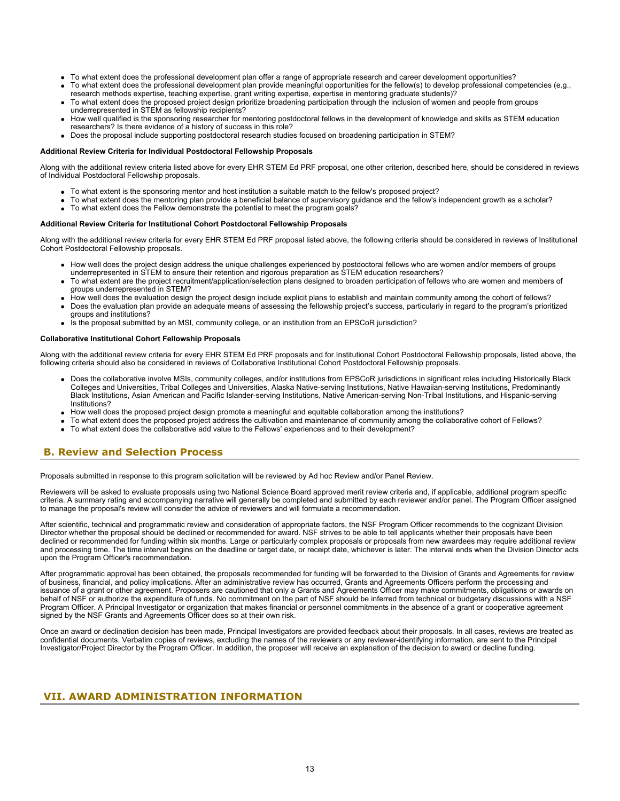- To what extent does the professional development plan offer a range of appropriate research and career development opportunities?
- To what extent does the professional development plan provide meaningful opportunities for the fellow(s) to develop professional competencies (e.g., research methods expertise, teaching expertise, grant writing expertise, expertise in mentoring graduate students)?
- To what extent does the proposed project design prioritize broadening participation through the inclusion of women and people from groups underrepresented in STEM as fellowship recipients?
- How well qualified is the sponsoring researcher for mentoring postdoctoral fellows in the development of knowledge and skills as STEM education researchers? Is there evidence of a history of success in this role?
- Does the proposal include supporting postdoctoral research studies focused on broadening participation in STEM?

#### **Additional Review Criteria for Individual Postdoctoral Fellowship Proposals**

Along with the additional review criteria listed above for every EHR STEM Ed PRF proposal, one other criterion, described here, should be considered in reviews of Individual Postdoctoral Fellowship proposals.

- To what extent is the sponsoring mentor and host institution a suitable match to the fellow's proposed project?
- To what extent does the mentoring plan provide a beneficial balance of supervisory guidance and the fellow's independent growth as a scholar?
- To what extent does the Fellow demonstrate the potential to meet the program goals?

#### **Additional Review Criteria for Institutional Cohort Postdoctoral Fellowship Proposals**

Along with the additional review criteria for every EHR STEM Ed PRF proposal listed above, the following criteria should be considered in reviews of Institutional Cohort Postdoctoral Fellowship proposals.

- How well does the project design address the unique challenges experienced by postdoctoral fellows who are women and/or members of groups
- underrepresented in STEM to ensure their retention and rigorous preparation as STEM education researchers? To what extent are the project recruitment/application/selection plans designed to broaden participation of fellows who are women and members of
- groups underrepresented in STEM?
- How well does the evaluation design the project design include explicit plans to establish and maintain community among the cohort of fellows? Does the evaluation plan provide an adequate means of assessing the fellowship project's success, particularly in regard to the program's prioritized groups and institutions?
- Is the proposal submitted by an MSI, community college, or an institution from an EPSCoR jurisdiction?

#### **Collaborative Institutional Cohort Fellowship Proposals**

Along with the additional review criteria for every EHR STEM Ed PRF proposals and for Institutional Cohort Postdoctoral Fellowship proposals, listed above, the following criteria should also be considered in reviews of Collaborative Institutional Cohort Postdoctoral Fellowship proposals.

- Does the collaborative involve MSIs, community colleges, and/or institutions from EPSCoR jurisdictions in significant roles including Historically Black Colleges and Universities, Tribal Colleges and Universities, Alaska Native-serving Institutions, Native Hawaiian-serving Institutions, Predominantly Black Institutions, Asian American and Pacific Islander-serving Institutions, Native American-serving Non-Tribal Institutions, and Hispanic-serving Institutions?
- How well does the proposed project design promote a meaningful and equitable collaboration among the institutions?
- To what extent does the proposed project address the cultivation and maintenance of community among the collaborative cohort of Fellows?
- To what extent does the collaborative add value to the Fellows' experiences and to their development?

## <span id="page-12-0"></span>**B. Review and Selection Process**

Proposals submitted in response to this program solicitation will be reviewed by Ad hoc Review and/or Panel Review.

Reviewers will be asked to evaluate proposals using two National Science Board approved merit review criteria and, if applicable, additional program specific criteria. A summary rating and accompanying narrative will generally be completed and submitted by each reviewer and/or panel. The Program Officer assigned to manage the proposal's review will consider the advice of reviewers and will formulate a recommendation.

After scientific, technical and programmatic review and consideration of appropriate factors, the NSF Program Officer recommends to the cognizant Division Director whether the proposal should be declined or recommended for award. NSF strives to be able to tell applicants whether their proposals have been declined or recommended for funding within six months. Large or particularly complex proposals or proposals from new awardees may require additional review and processing time. The time interval begins on the deadline or target date, or receipt date, whichever is later. The interval ends when the Division Director acts upon the Program Officer's recommendation.

After programmatic approval has been obtained, the proposals recommended for funding will be forwarded to the Division of Grants and Agreements for review of business, financial, and policy implications. After an administrative review has occurred, Grants and Agreements Officers perform the processing and issuance of a grant or other agreement. Proposers are cautioned that only a Grants and Agreements Officer may make commitments, obligations or awards on behalf of NSF or authorize the expenditure of funds. No commitment on the part of NSF should be inferred from technical or budgetary discussions with a NSF Program Officer. A Principal Investigator or organization that makes financial or personnel commitments in the absence of a grant or cooperative agreement signed by the NSF Grants and Agreements Officer does so at their own risk.

Once an award or declination decision has been made, Principal Investigators are provided feedback about their proposals. In all cases, reviews are treated as confidential documents. Verbatim copies of reviews, excluding the names of the reviewers or any reviewer-identifying information, are sent to the Principal Investigator/Project Director by the Program Officer. In addition, the proposer will receive an explanation of the decision to award or decline funding.

## <span id="page-12-1"></span>**VII. AWARD ADMINISTRATION INFORMATION**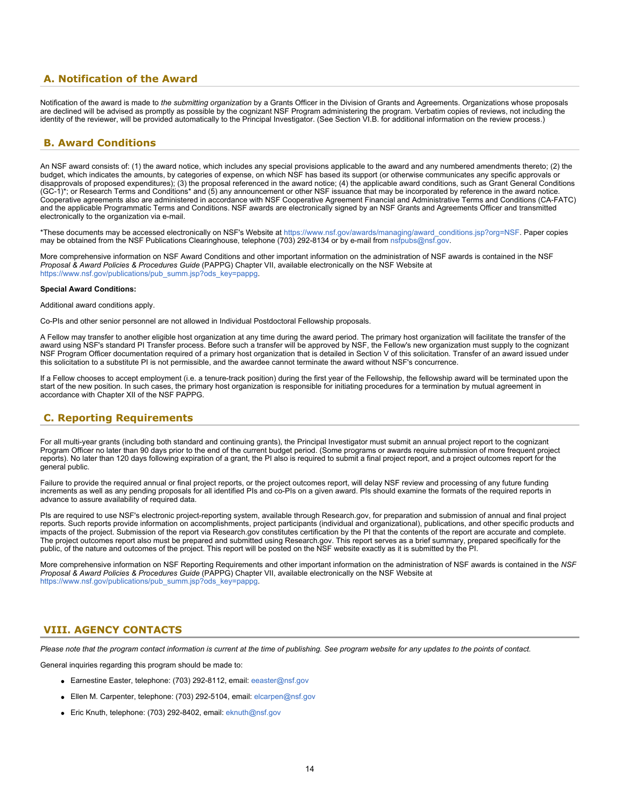## <span id="page-13-0"></span>**A. Notification of the Award**

Notification of the award is made to *the submitting organization* by a Grants Officer in the Division of Grants and Agreements. Organizations whose proposals are declined will be advised as promptly as possible by the cognizant NSF Program administering the program. Verbatim copies of reviews, not including the identity of the reviewer, will be provided automatically to the Principal Investigator. (See Section VI.B. for additional information on the review process.)

## <span id="page-13-1"></span>**B. Award Conditions**

An NSF award consists of: (1) the award notice, which includes any special provisions applicable to the award and any numbered amendments thereto; (2) the budget, which indicates the amounts, by categories of expense, on which NSF has based its support (or otherwise communicates any specific approvals or disapprovals of proposed expenditures); (3) the proposal referenced in the award notice; (4) the applicable award conditions, such as Grant General Conditions (GC-1)\*; or Research Terms and Conditions\* and (5) any announcement or other NSF issuance that may be incorporated by reference in the award notice. Cooperative agreements also are administered in accordance with NSF Cooperative Agreement Financial and Administrative Terms and Conditions (CA-FATC) and the applicable Programmatic Terms and Conditions. NSF awards are electronically signed by an NSF Grants and Agreements Officer and transmitted electronically to the organization via e-mail.

\*These documents may be accessed electronically on NSF's Website at [https://www.nsf.gov/awards/managing/award\\_conditions.jsp?org=NSF](https://www.nsf.gov/awards/managing/award_conditions.jsp?org=NSF). Paper copies may be obtained from the NSF Publications Clearinghouse, telephone (703) 292-8134 or by e-mail from [nsfpubs@nsf.gov.](mailto:nsfpubs@nsf.gov)

More comprehensive information on NSF Award Conditions and other important information on the administration of NSF awards is contained in the NSF *Proposal & Award Policies & Procedures Guide* (PAPPG) Chapter VII, available electronically on the NSF Website at [https://www.nsf.gov/publications/pub\\_summ.jsp?ods\\_key=pappg.](https://www.nsf.gov/publications/pub_summ.jsp?ods_key=pappg)

#### **Special Award Conditions:**

Additional award conditions apply.

Co-PIs and other senior personnel are not allowed in Individual Postdoctoral Fellowship proposals.

A Fellow may transfer to another eligible host organization at any time during the award period. The primary host organization will facilitate the transfer of the award using NSF's standard PI Transfer process. Before such a transfer will be approved by NSF, the Fellow's new organization must supply to the cognizant NSF Program Officer documentation required of a primary host organization that is detailed in Section V of this solicitation. Transfer of an award issued under this solicitation to a substitute PI is not permissible, and the awardee cannot terminate the award without NSF's concurrence.

If a Fellow chooses to accept employment (i.e. a tenure-track position) during the first year of the Fellowship, the fellowship award will be terminated upon the start of the new position. In such cases, the primary host organization is responsible for initiating procedures for a termination by mutual agreement in accordance with Chapter XII of the NSF PAPPG.

## <span id="page-13-2"></span>**C. Reporting Requirements**

For all multi-year grants (including both standard and continuing grants), the Principal Investigator must submit an annual project report to the cognizant Program Officer no later than 90 days prior to the end of the current budget period. (Some programs or awards require submission of more frequent project reports). No later than 120 days following expiration of a grant, the PI also is required to submit a final project report, and a project outcomes report for the general public.

Failure to provide the required annual or final project reports, or the project outcomes report, will delay NSF review and processing of any future funding increments as well as any pending proposals for all identified PIs and co-PIs on a given award. PIs should examine the formats of the required reports in advance to assure availability of required data.

PIs are required to use NSF's electronic project-reporting system, available through Research.gov, for preparation and submission of annual and final project reports. Such reports provide information on accomplishments, project participants (individual and organizational), publications, and other specific products and impacts of the project. Submission of the report via Research.gov constitutes certification by the PI that the contents of the report are accurate and complete. The project outcomes report also must be prepared and submitted using Research.gov. This report serves as a brief summary, prepared specifically for the public, of the nature and outcomes of the project. This report will be posted on the NSF website exactly as it is submitted by the PI.

More comprehensive information on NSF Reporting Requirements and other important information on the administration of NSF awards is contained in the *NSF Proposal & Award Policies & Procedures Guide* (PAPPG) Chapter VII, available electronically on the NSF Website at [https://www.nsf.gov/publications/pub\\_summ.jsp?ods\\_key=pappg.](https://www.nsf.gov/publications/pub_summ.jsp?ods_key=pappg)

## <span id="page-13-3"></span>**VIII. AGENCY CONTACTS**

*Please note that the program contact information is current at the time of publishing. See program website for any updates to the points of contact.*

General inquiries regarding this program should be made to:

- Earnestine Easter, telephone: (703) 292-8112, email: [eeaster@nsf.gov](mailto:eeaster@nsf.gov)
- Ellen M. Carpenter, telephone: (703) 292-5104, email: [elcarpen@nsf.gov](mailto:elcarpen@nsf.gov)
- Eric Knuth, telephone: (703) 292-8402, email: [eknuth@nsf.gov](mailto:eknuth@nsf.gov)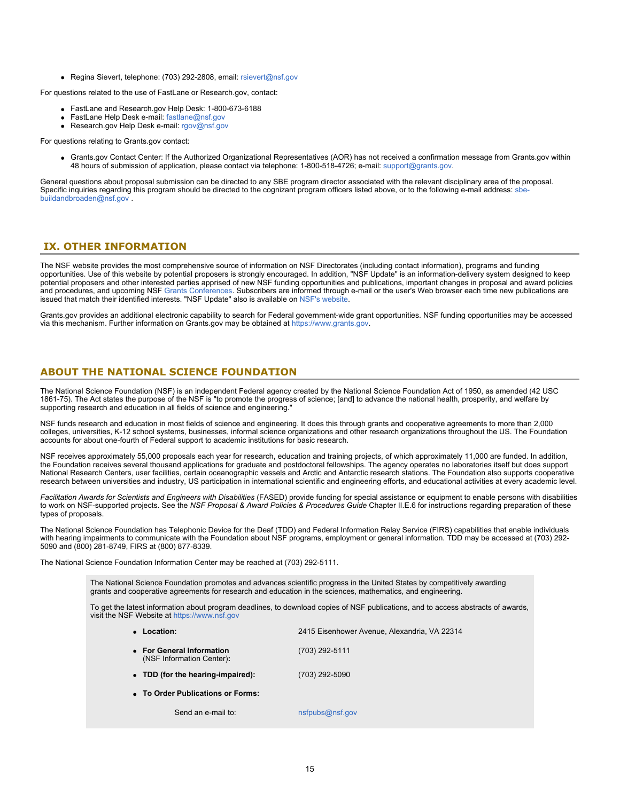Regina Sievert, telephone: (703) 292-2808, email: [rsievert@nsf.gov](mailto:rsievert@nsf.gov)

For questions related to the use of FastLane or Research.gov, contact:

- FastLane and Research.gov Help Desk: 1-800-673-6188
- FastLane Help Desk e-mail: [fastlane@nsf.gov](mailto:fastlane@nsf.gov)
- **Research.gov Help Desk e-mail: [rgov@nsf.gov](mailto:rgov@nsf.gov)**

For questions relating to Grants.gov contact:

Grants.gov Contact Center: If the Authorized Organizational Representatives (AOR) has not received a confirmation message from Grants.gov within 48 hours of submission of application, please contact via telephone: 1-800-518-4726; e-mail: [support@grants.gov](mailto:support@grants.gov).

General questions about proposal submission can be directed to any SBE program director associated with the relevant disciplinary area of the proposal. Specific inquiries regarding this program should be directed to the cognizant program officers listed above, or to the following e-mail address: [sbe](mailto:sbe-buildandbroaden@nsf.gov)[buildandbroaden@nsf.gov](mailto:sbe-buildandbroaden@nsf.gov)

## <span id="page-14-0"></span>**IX. OTHER INFORMATION**

The NSF website provides the most comprehensive source of information on NSF Directorates (including contact information), programs and funding opportunities. Use of this website by potential proposers is strongly encouraged. In addition, "NSF Update" is an information-delivery system designed to keep potential proposers and other interested parties apprised of new NSF funding opportunities and publications, important changes in proposal and award policies and procedures, and upcoming NSF [Grants Conferences](https://www.nsf.gov/bfa/dias/policy/outreach.jsp). Subscribers are informed through e-mail or the user's Web browser each time new publications are issued that match their identified interests. "NSF Update" also is available on [NSF's website](https://www.nsf.gov/cgi-bin/goodbye?https://public.govdelivery.com/accounts/USNSF/subscriber/new?topic_id=USNSF_179).

Grants.gov provides an additional electronic capability to search for Federal government-wide grant opportunities. NSF funding opportunities may be accessed via this mechanism. Further information on Grants.gov may be obtained at [https://www.grants.gov](https://www.grants.gov/).

## **ABOUT THE NATIONAL SCIENCE FOUNDATION**

The National Science Foundation (NSF) is an independent Federal agency created by the National Science Foundation Act of 1950, as amended (42 USC 1861-75). The Act states the purpose of the NSF is "to promote the progress of science; [and] to advance the national health, prosperity, and welfare by supporting research and education in all fields of science and engineering."

NSF funds research and education in most fields of science and engineering. It does this through grants and cooperative agreements to more than 2,000 colleges, universities, K-12 school systems, businesses, informal science organizations and other research organizations throughout the US. The Foundation accounts for about one-fourth of Federal support to academic institutions for basic research.

NSF receives approximately 55,000 proposals each year for research, education and training projects, of which approximately 11,000 are funded. In addition, the Foundation receives several thousand applications for graduate and postdoctoral fellowships. The agency operates no laboratories itself but does support National Research Centers, user facilities, certain oceanographic vessels and Arctic and Antarctic research stations. The Foundation also supports cooperative research between universities and industry, US participation in international scientific and engineering efforts, and educational activities at every academic level.

*Facilitation Awards for Scientists and Engineers with Disabilities* (FASED) provide funding for special assistance or equipment to enable persons with disabilities to work on NSF-supported projects. See the *NSF Proposal & Award Policies & Procedures Guide* Chapter II.E.6 for instructions regarding preparation of these types of proposals.

The National Science Foundation has Telephonic Device for the Deaf (TDD) and Federal Information Relay Service (FIRS) capabilities that enable individuals with hearing impairments to communicate with the Foundation about NSF programs, employment or general information. TDD may be accessed at (703) 292- 5090 and (800) 281-8749, FIRS at (800) 877-8339.

The National Science Foundation Information Center may be reached at (703) 292-5111.

The National Science Foundation promotes and advances scientific progress in the United States by competitively awarding grants and cooperative agreements for research and education in the sciences, mathematics, and engineering.

To get the latest information about program deadlines, to download copies of NSF publications, and to access abstracts of awards, visit the NSF Website at [https://www.nsf.gov](https://www.nsf.gov/)

| Location:<br>$\bullet$                                 | 2415 Eisenhower Avenue, Alexandria, VA 22314 |  |  |  |  |  |  |
|--------------------------------------------------------|----------------------------------------------|--|--|--|--|--|--|
| • For General Information<br>(NSF Information Center): | (703) 292-5111                               |  |  |  |  |  |  |
| • TDD (for the hearing-impaired):                      | (703) 292-5090                               |  |  |  |  |  |  |
| • To Order Publications or Forms:                      |                                              |  |  |  |  |  |  |
| Send an e-mail to:                                     | nsfpubs@nsf.gov                              |  |  |  |  |  |  |